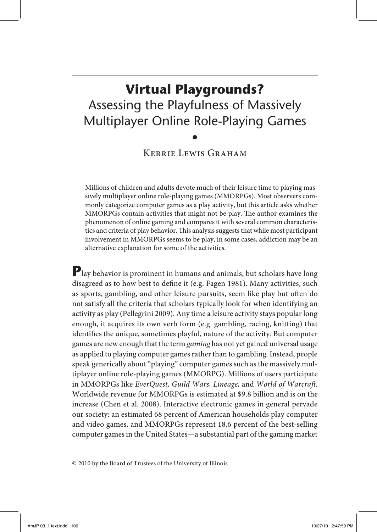# **Virtual Playgrounds?** Assessing the Playfulness of Massively Multiplayer Online Role-Playing Games •

KERRIE LEWIS GRAHAM

Millions of children and adults devote much of their leisure time to playing massively multiplayer online role-playing games (MMORPGs). Most observers commonly categorize computer games as a play activity, but this article asks whether MMORPGs contain activities that might not be play. The author examines the phenomenon of online gaming and compares it with several common characteristics and criteria of play behavior. This analysis suggests that while most participant involvement in MMORPGs seems to be play, in some cases, addiction may be an alternative explanation for some of the activities.

**P**lay behavior is prominent in humans and animals, but scholars have long disagreed as to how best to define it (e.g. Fagen 1981). Many activities, such as sports, gambling, and other leisure pursuits, seem like play but often do not satisfy all the criteria that scholars typically look for when identifying an activity as play (Pellegrini 2009). Any time a leisure activity stays popular long enough, it acquires its own verb form (e.g. gambling, racing, knitting) that identifies the unique, sometimes playful, nature of the activity. But computer games are new enough that the term *gaming* has not yet gained universal usage as applied to playing computer games rather than to gambling. Instead, people speak generically about "playing" computer games such as the massively multiplayer online role-playing games (MMORPG). Millions of users participate in MMORPGs like *EverQuest, Guild Wars, Lineage,* and *World of Warcraft.*  Worldwide revenue for MMORPGs is estimated at \$9.8 billion and is on the increase (Chen et al. 2008). Interactive electronic games in general pervade our society: an estimated 68 percent of American households play computer and video games, and MMORPGs represent 18.6 percent of the best-selling computer games in the United States—a substantial part of the gaming market

© 2010 by the Board of Trustees of the University of Illinois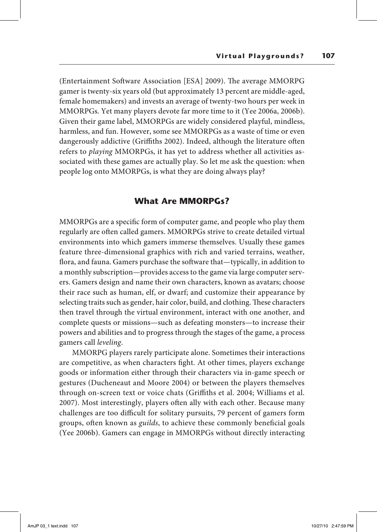(Entertainment Software Association [ESA] 2009). The average MMORPG gamer is twenty-six years old (but approximately 13 percent are middle-aged, female homemakers) and invests an average of twenty-two hours per week in MMORPGs. Yet many players devote far more time to it (Yee 2006a, 2006b). Given their game label, MMORPGs are widely considered playful, mindless, harmless, and fun. However, some see MMORPGs as a waste of time or even dangerously addictive (Griffiths 2002). Indeed, although the literature often refers to *playing* MMORPGs, it has yet to address whether all activities associated with these games are actually play. So let me ask the question: when people log onto MMORPGs, is what they are doing always play?

## **What Are MMORPGs?**

MMORPGs are a specific form of computer game, and people who play them regularly are often called gamers. MMORPGs strive to create detailed virtual environments into which gamers immerse themselves. Usually these games feature three-dimensional graphics with rich and varied terrains, weather, flora, and fauna. Gamers purchase the software that—typically, in addition to a monthly subscription—provides access to the game via large computer servers. Gamers design and name their own characters, known as avatars; choose their race such as human, elf, or dwarf; and customize their appearance by selecting traits such as gender, hair color, build, and clothing. These characters then travel through the virtual environment, interact with one another, and complete quests or missions—such as defeating monsters—to increase their powers and abilities and to progress through the stages of the game, a process gamers call *leveling*.

MMORPG players rarely participate alone. Sometimes their interactions are competitive, as when characters fight. At other times, players exchange goods or information either through their characters via in-game speech or gestures (Ducheneaut and Moore 2004) or between the players themselves through on-screen text or voice chats (Griffiths et al. 2004; Williams et al. 2007). Most interestingly, players often ally with each other. Because many challenges are too difficult for solitary pursuits, 79 percent of gamers form groups, often known as *guilds*, to achieve these commonly beneficial goals (Yee 2006b). Gamers can engage in MMORPGs without directly interacting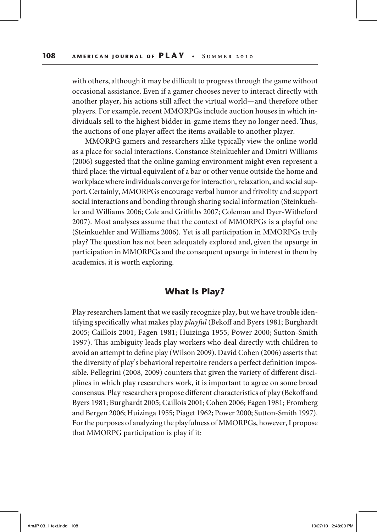with others, although it may be difficult to progress through the game without occasional assistance. Even if a gamer chooses never to interact directly with another player, his actions still affect the virtual world—and therefore other players. For example, recent MMORPGs include auction houses in which individuals sell to the highest bidder in-game items they no longer need. Thus, the auctions of one player affect the items available to another player.

MMORPG gamers and researchers alike typically view the online world as a place for social interactions. Constance Steinkuehler and Dmitri Williams (2006) suggested that the online gaming environment might even represent a third place: the virtual equivalent of a bar or other venue outside the home and workplace where individuals converge for interaction, relaxation, and social support. Certainly, MMORPGs encourage verbal humor and frivolity and support social interactions and bonding through sharing social information (Steinkuehler and Williams 2006; Cole and Griffiths 2007; Coleman and Dyer-Witheford 2007). Most analyses assume that the context of MMORPGs is a playful one (Steinkuehler and Williams 2006). Yet is all participation in MMORPGs truly play? The question has not been adequately explored and, given the upsurge in participation in MMORPGs and the consequent upsurge in interest in them by academics, it is worth exploring.

# **What Is Play?**

Play researchers lament that we easily recognize play, but we have trouble identifying specifically what makes play *playful* (Bekoff and Byers 1981; Burghardt 2005; Caillois 2001; Fagen 1981; Huizinga 1955; Power 2000; Sutton-Smith 1997). This ambiguity leads play workers who deal directly with children to avoid an attempt to define play (Wilson 2009). David Cohen (2006) asserts that the diversity of play's behavioral repertoire renders a perfect definition impossible. Pellegrini (2008, 2009) counters that given the variety of different disciplines in which play researchers work, it is important to agree on some broad consensus. Play researchers propose different characteristics of play (Bekoff and Byers 1981; Burghardt 2005; Caillois 2001; Cohen 2006; Fagen 1981; Fromberg and Bergen 2006; Huizinga 1955; Piaget 1962; Power 2000; Sutton-Smith 1997). For the purposes of analyzing the playfulness of MMORPGs, however, I propose that MMORPG participation is play if it: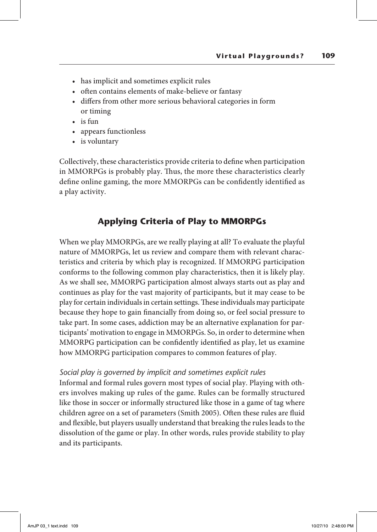- has implicit and sometimes explicit rules
- often contains elements of make-believe or fantasy
- • differs from other more serious behavioral categories in form or timing
- is fun
- appears functionless
- is voluntary

Collectively, these characteristics provide criteria to define when participation in MMORPGs is probably play. Thus, the more these characteristics clearly define online gaming, the more MMORPGs can be confidently identified as a play activity.

# **Applying Criteria of Play to MMORPGs**

When we play MMORPGs, are we really playing at all? To evaluate the playful nature of MMORPGs, let us review and compare them with relevant characteristics and criteria by which play is recognized. If MMORPG participation conforms to the following common play characteristics, then it is likely play. As we shall see, MMORPG participation almost always starts out as play and continues as play for the vast majority of participants, but it may cease to be play for certain individuals in certain settings. These individuals may participate because they hope to gain financially from doing so, or feel social pressure to take part. In some cases, addiction may be an alternative explanation for participants' motivation to engage in MMORPGs. So, in order to determine when MMORPG participation can be confidently identified as play, let us examine how MMORPG participation compares to common features of play.

### *Social play is governed by implicit and sometimes explicit rules*

Informal and formal rules govern most types of social play. Playing with others involves making up rules of the game. Rules can be formally structured like those in soccer or informally structured like those in a game of tag where children agree on a set of parameters (Smith 2005). Often these rules are fluid and flexible, but players usually understand that breaking the rules leads to the dissolution of the game or play. In other words, rules provide stability to play and its participants.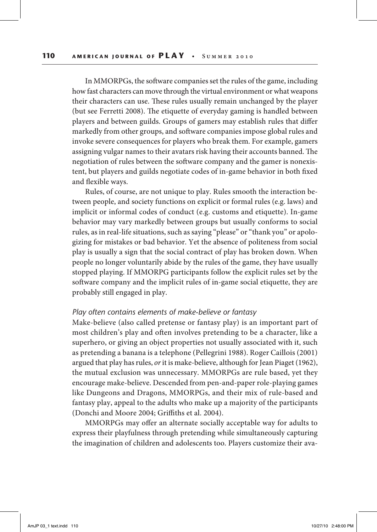In MMORPGs, the software companies set the rules of the game, including how fast characters can move through the virtual environment or what weapons their characters can use. These rules usually remain unchanged by the player (but see Ferretti 2008). The etiquette of everyday gaming is handled between players and between guilds. Groups of gamers may establish rules that differ markedly from other groups, and software companies impose global rules and invoke severe consequences for players who break them. For example, gamers assigning vulgar names to their avatars risk having their accounts banned. The negotiation of rules between the software company and the gamer is nonexistent, but players and guilds negotiate codes of in-game behavior in both fixed and flexible ways.

Rules, of course, are not unique to play. Rules smooth the interaction between people, and society functions on explicit or formal rules (e.g. laws) and implicit or informal codes of conduct (e.g. customs and etiquette). In-game behavior may vary markedly between groups but usually conforms to social rules, as in real-life situations, such as saying "please" or "thank you" or apologizing for mistakes or bad behavior. Yet the absence of politeness from social play is usually a sign that the social contract of play has broken down. When people no longer voluntarily abide by the rules of the game, they have usually stopped playing. If MMORPG participants follow the explicit rules set by the software company and the implicit rules of in-game social etiquette, they are probably still engaged in play.

### *Play often contains elements of make-believe or fantasy*

Make-believe (also called pretense or fantasy play) is an important part of most children's play and often involves pretending to be a character, like a superhero, or giving an object properties not usually associated with it, such as pretending a banana is a telephone (Pellegrini 1988). Roger Caillois (2001) argued that play has rules, *or* it is make-believe, although for Jean Piaget (1962), the mutual exclusion was unnecessary. MMORPGs are rule based, yet they encourage make-believe. Descended from pen-and-paper role-playing games like Dungeons and Dragons, MMORPGs, and their mix of rule-based and fantasy play, appeal to the adults who make up a majority of the participants (Donchi and Moore 2004; Griffiths et al. 2004).

MMORPGs may offer an alternate socially acceptable way for adults to express their playfulness through pretending while simultaneously capturing the imagination of children and adolescents too. Players customize their ava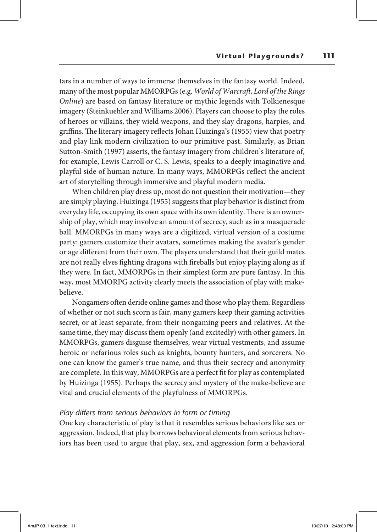tars in a number of ways to immerse themselves in the fantasy world. Indeed, many of the most popular MMORPGs (e.g. *World of Warcraft*, *Lord of the Rings Online*) are based on fantasy literature or mythic legends with Tolkienesque imagery (Steinkuehler and Williams 2006). Players can choose to play the roles of heroes or villains, they wield weapons, and they slay dragons, harpies, and griffins. The literary imagery reflects Johan Huizinga's (1955) view that poetry and play link modern civilization to our primitive past. Similarly, as Brian Sutton-Smith (1997) asserts, the fantasy imagery from children's literature of, for example, Lewis Carroll or C. S. Lewis, speaks to a deeply imaginative and playful side of human nature. In many ways, MMORPGs reflect the ancient art of storytelling through immersive and playful modern media.

When children play dress up, most do not question their motivation—they are simply playing. Huizinga (1955) suggests that play behavior is distinct from everyday life, occupying its own space with its own identity. There is an ownership of play, which may involve an amount of secrecy, such as in a masquerade ball. MMORPGs in many ways are a digitized, virtual version of a costume party: gamers customize their avatars, sometimes making the avatar's gender or age different from their own. The players understand that their guild mates are not really elves fighting dragons with fireballs but enjoy playing along as if they were. In fact, MMORPGs in their simplest form are pure fantasy. In this way, most MMORPG activity clearly meets the association of play with makebelieve.

Nongamers often deride online games and those who play them. Regardless of whether or not such scorn is fair, many gamers keep their gaming activities secret, or at least separate, from their nongaming peers and relatives. At the same time, they may discuss them openly (and excitedly) with other gamers. In MMORPGs, gamers disguise themselves, wear virtual vestments, and assume heroic or nefarious roles such as knights, bounty hunters, and sorcerers. No one can know the gamer's true name, and thus their secrecy and anonymity are complete. In this way, MMORPGs are a perfect fit for play as contemplated by Huizinga (1955). Perhaps the secrecy and mystery of the make-believe are vital and crucial elements of the playfulness of MMORPGs.

### *Play differs from serious behaviors in form or timing*

One key characteristic of play is that it resembles serious behaviors like sex or aggression. Indeed, that play borrows behavioral elements from serious behaviors has been used to argue that play, sex, and aggression form a behavioral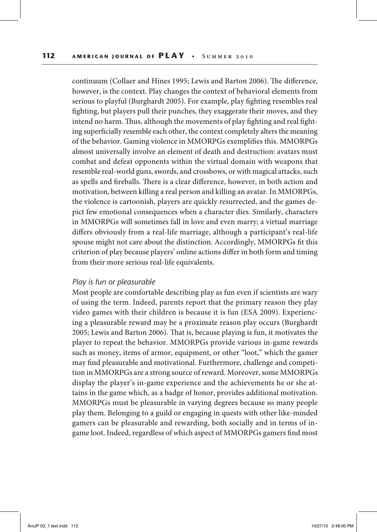continuum (Collaer and Hines 1995; Lewis and Barton 2006). The difference, however, is the context. Play changes the context of behavioral elements from serious to playful (Burghardt 2005). For example, play fighting resembles real fighting, but players pull their punches, they exaggerate their moves, and they intend no harm. Thus, although the movements of play fighting and real fighting superficially resemble each other, the context completely alters the meaning of the behavior. Gaming violence in MMORPGs exemplifies this. MMORPGs almost universally involve an element of death and destruction: avatars must combat and defeat opponents within the virtual domain with weapons that resemble real-world guns, swords, and crossbows, or with magical attacks, such as spells and fireballs. There is a clear difference, however, in both action and motivation, between killing a real person and killing an avatar. In MMORPGs, the violence is cartoonish, players are quickly resurrected, and the games depict few emotional consequences when a character dies. Similarly, characters in MMORPGs will sometimes fall in love and even marry; a virtual marriage differs obviously from a real-life marriage, although a participant's real-life spouse might not care about the distinction. Accordingly, MMORPGs fit this criterion of play because players' online actions differ in both form and timing from their more serious real-life equivalents.

#### *Play is fun or pleasurable*

Most people are comfortable describing play as fun even if scientists are wary of using the term. Indeed, parents report that the primary reason they play video games with their children is because it is fun (ESA 2009). Experiencing a pleasurable reward may be a proximate reason play occurs (Burghardt 2005; Lewis and Barton 2006). That is, because playing is fun, it motivates the player to repeat the behavior. MMORPGs provide various in-game rewards such as money, items of armor, equipment, or other "loot," which the gamer may find pleasurable and motivational. Furthermore, challenge and competition in MMORPGs are a strong source of reward. Moreover, some MMORPGs display the player's in-game experience and the achievements he or she attains in the game which, as a badge of honor, provides additional motivation. MMORPGs must be pleasurable in varying degrees because so many people play them. Belonging to a guild or engaging in quests with other like-minded gamers can be pleasurable and rewarding, both socially and in terms of ingame loot. Indeed, regardless of which aspect of MMORPGs gamers find most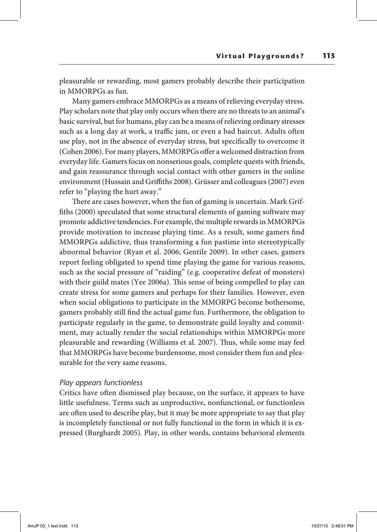pleasurable or rewarding, most gamers probably describe their participation in MMORPGs as fun.

Many gamers embrace MMORPGs as a means of relieving everyday stress. Play scholars note that play only occurs when there are no threats to an animal's basic survival, but for humans, play can be a means of relieving ordinary stresses such as a long day at work, a traffic jam, or even a bad haircut. Adults often use play, not in the absence of everyday stress, but specifically to overcome it (Cohen 2006). For many players, MMORPGs offer a welcomed distraction from everyday life. Gamers focus on nonserious goals, complete quests with friends, and gain reassurance through social contact with other gamers in the online environment (Hussain and Griffiths 2008). Grüsser and colleagues (2007) even refer to "playing the hurt away."

There are cases however, when the fun of gaming is uncertain. Mark Griffiths (2000) speculated that some structural elements of gaming software may promote addictive tendencies. For example, the multiple rewards in MMORPGs provide motivation to increase playing time. As a result, some gamers find MMORPGs addictive, thus transforming a fun pastime into stereotypically abnormal behavior (Ryan et al. 2006; Gentile 2009). In other cases, gamers report feeling obligated to spend time playing the game for various reasons, such as the social pressure of "raiding" (e.g. cooperative defeat of monsters) with their guild mates (Yee 2006a). This sense of being compelled to play can create stress for some gamers and perhaps for their families. However, even when social obligations to participate in the MMORPG become bothersome, gamers probably still find the actual game fun. Furthermore, the obligation to participate regularly in the game, to demonstrate guild loyalty and commitment, may actually render the social relationships within MMORPGs more pleasurable and rewarding (Williams et al. 2007). Thus, while some may feel that MMORPGs have become burdensome, most consider them fun and pleasurable for the very same reasons.

### *Play appears functionless*

Critics have often dismissed play because, on the surface, it appears to have little usefulness. Terms such as unproductive, nonfunctional, or functionless are often used to describe play, but it may be more appropriate to say that play is incompletely functional or not fully functional in the form in which it is expressed (Burghardt 2005). Play, in other words, contains behavioral elements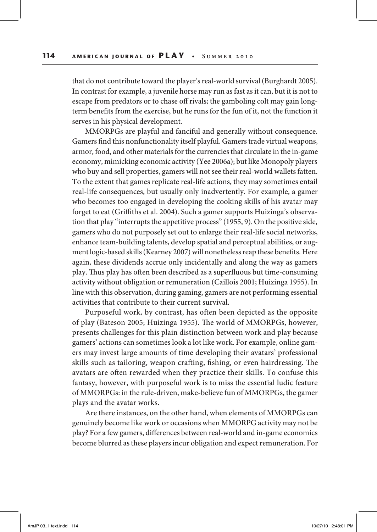that do not contribute toward the player's real-world survival (Burghardt 2005). In contrast for example, a juvenile horse may run as fast as it can, but it is not to escape from predators or to chase off rivals; the gamboling colt may gain longterm benefits from the exercise, but he runs for the fun of it, not the function it serves in his physical development.

MMORPGs are playful and fanciful and generally without consequence. Gamers find this nonfunctionality itself playful. Gamers trade virtual weapons, armor, food, and other materials for the currencies that circulate in the in-game economy, mimicking economic activity (Yee 2006a); but like Monopoly players who buy and sell properties, gamers will not see their real-world wallets fatten. To the extent that games replicate real-life actions, they may sometimes entail real-life consequences, but usually only inadvertently. For example, a gamer who becomes too engaged in developing the cooking skills of his avatar may forget to eat (Griffiths et al. 2004). Such a gamer supports Huizinga's observation that play "interrupts the appetitive process" (1955, 9). On the positive side, gamers who do not purposely set out to enlarge their real-life social networks, enhance team-building talents, develop spatial and perceptual abilities, or augment logic-based skills (Kearney 2007) will nonetheless reap these benefits. Here again, these dividends accrue only incidentally and along the way as gamers play. Thus play has often been described as a superfluous but time-consuming activity without obligation or remuneration (Caillois 2001; Huizinga 1955). In line with this observation, during gaming, gamers are not performing essential activities that contribute to their current survival.

Purposeful work, by contrast, has often been depicted as the opposite of play (Bateson 2005; Huizinga 1955). The world of MMORPGs, however, presents challenges for this plain distinction between work and play because gamers' actions can sometimes look a lot like work. For example, online gamers may invest large amounts of time developing their avatars' professional skills such as tailoring, weapon crafting, fishing, or even hairdressing. The avatars are often rewarded when they practice their skills. To confuse this fantasy, however, with purposeful work is to miss the essential ludic feature of MMORPGs: in the rule-driven, make-believe fun of MMORPGs, the gamer plays and the avatar works.

Are there instances, on the other hand, when elements of MMORPGs can genuinely become like work or occasions when MMORPG activity may not be play? For a few gamers, differences between real-world and in-game economics become blurred as these players incur obligation and expect remuneration. For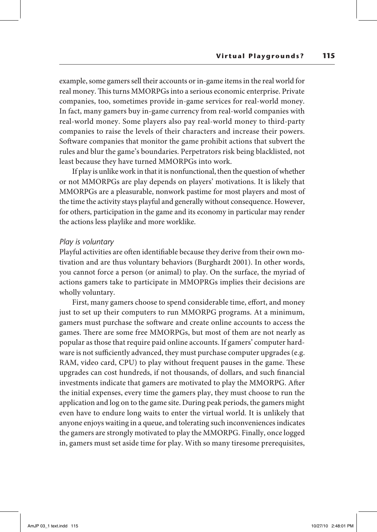example, some gamers sell their accounts or in-game items in the real world for real money. This turns MMORPGs into a serious economic enterprise. Private companies, too, sometimes provide in-game services for real-world money. In fact, many gamers buy in-game currency from real-world companies with real-world money. Some players also pay real-world money to third-party companies to raise the levels of their characters and increase their powers. Software companies that monitor the game prohibit actions that subvert the rules and blur the game's boundaries. Perpetrators risk being blacklisted, not least because they have turned MMORPGs into work.

If play is unlike work in that it is nonfunctional, then the question of whether or not MMORPGs are play depends on players' motivations. It is likely that MMORPGs are a pleasurable, nonwork pastime for most players and most of the time the activity stays playful and generally without consequence. However, for others, participation in the game and its economy in particular may render the actions less playlike and more worklike.

### *Play is voluntary*

Playful activities are often identifiable because they derive from their own motivation and are thus voluntary behaviors (Burghardt 2001). In other words, you cannot force a person (or animal) to play. On the surface, the myriad of actions gamers take to participate in MMOPRGs implies their decisions are wholly voluntary.

First, many gamers choose to spend considerable time, effort, and money just to set up their computers to run MMORPG programs. At a minimum, gamers must purchase the software and create online accounts to access the games. There are some free MMORPGs, but most of them are not nearly as popular as those that require paid online accounts. If gamers' computer hardware is not sufficiently advanced, they must purchase computer upgrades (e.g. RAM, video card, CPU) to play without frequent pauses in the game. These upgrades can cost hundreds, if not thousands, of dollars, and such financial investments indicate that gamers are motivated to play the MMORPG. After the initial expenses, every time the gamers play, they must choose to run the application and log on to the game site. During peak periods, the gamers might even have to endure long waits to enter the virtual world. It is unlikely that anyone enjoys waiting in a queue, and tolerating such inconveniences indicates the gamers are strongly motivated to play the MMORPG. Finally, once logged in, gamers must set aside time for play. With so many tiresome prerequisites,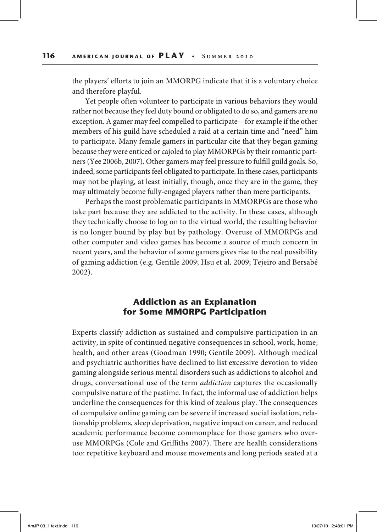the players' efforts to join an MMORPG indicate that it is a voluntary choice and therefore playful.

Yet people often volunteer to participate in various behaviors they would rather not because they feel duty bound or obligated to do so, and gamers are no exception. A gamer may feel compelled to participate—for example if the other members of his guild have scheduled a raid at a certain time and "need" him to participate. Many female gamers in particular cite that they began gaming because they were enticed or cajoled to play MMORPGs by their romantic partners (Yee 2006b, 2007). Other gamers may feel pressure to fulfill guild goals. So, indeed, some participants feel obligated to participate. In these cases, participants may not be playing, at least initially, though, once they are in the game, they may ultimately become fully-engaged players rather than mere participants.

Perhaps the most problematic participants in MMORPGs are those who take part because they are addicted to the activity. In these cases, although they technically choose to log on to the virtual world, the resulting behavior is no longer bound by play but by pathology. Overuse of MMORPGs and other computer and video games has become a source of much concern in recent years, and the behavior of some gamers gives rise to the real possibility of gaming addiction (e.g. Gentile 2009; Hsu et al. 2009; Tejeiro and Bersabé 2002).

# **Addiction as an Explanation for Some MMORPG Participation**

Experts classify addiction as sustained and compulsive participation in an activity, in spite of continued negative consequences in school, work, home, health, and other areas (Goodman 1990; Gentile 2009). Although medical and psychiatric authorities have declined to list excessive devotion to video gaming alongside serious mental disorders such as addictions to alcohol and drugs, conversational use of the term *addiction* captures the occasionally compulsive nature of the pastime. In fact, the informal use of addiction helps underline the consequences for this kind of zealous play. The consequences of compulsive online gaming can be severe if increased social isolation, relationship problems, sleep deprivation, negative impact on career, and reduced academic performance become commonplace for those gamers who overuse MMORPGs (Cole and Griffiths 2007). There are health considerations too: repetitive keyboard and mouse movements and long periods seated at a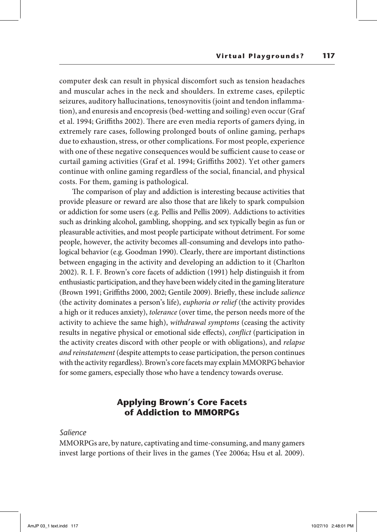computer desk can result in physical discomfort such as tension headaches and muscular aches in the neck and shoulders. In extreme cases, epileptic seizures, auditory hallucinations, tenosynovitis (joint and tendon inflammation), and enuresis and encopresis (bed-wetting and soiling) even occur (Graf et al. 1994; Griffiths 2002). There are even media reports of gamers dying, in extremely rare cases, following prolonged bouts of online gaming, perhaps due to exhaustion, stress, or other complications. For most people, experience with one of these negative consequences would be sufficient cause to cease or curtail gaming activities (Graf et al. 1994; Griffiths 2002). Yet other gamers continue with online gaming regardless of the social, financial, and physical costs. For them, gaming is pathological.

The comparison of play and addiction is interesting because activities that provide pleasure or reward are also those that are likely to spark compulsion or addiction for some users (e.g. Pellis and Pellis 2009). Addictions to activities such as drinking alcohol, gambling, shopping, and sex typically begin as fun or pleasurable activities, and most people participate without detriment. For some people, however, the activity becomes all-consuming and develops into pathological behavior (e.g. Goodman 1990). Clearly, there are important distinctions between engaging in the activity and developing an addiction to it (Charlton 2002). R. I. F. Brown's core facets of addiction (1991) help distinguish it from enthusiastic participation, and they have been widely cited in the gaming literature (Brown 1991; Griffiths 2000, 2002; Gentile 2009). Briefly, these include *salience* (the activity dominates a person's life), *euphoria or relief* (the activity provides a high or it reduces anxiety), *tolerance* (over time, the person needs more of the activity to achieve the same high), *withdrawal symptoms* (ceasing the activity results in negative physical or emotional side effects), *conflict* (participation in the activity creates discord with other people or with obligations), and *relapse and reinstatement* (despite attempts to cease participation, the person continues with the activity regardless). Brown's core facets may explain MMORPG behavior for some gamers, especially those who have a tendency towards overuse.

# **Applying Brown's Core Facets of Addiction to MMORPGs**

### *Salience*

MMORPGs are, by nature, captivating and time-consuming, and many gamers invest large portions of their lives in the games (Yee 2006a; Hsu et al. 2009).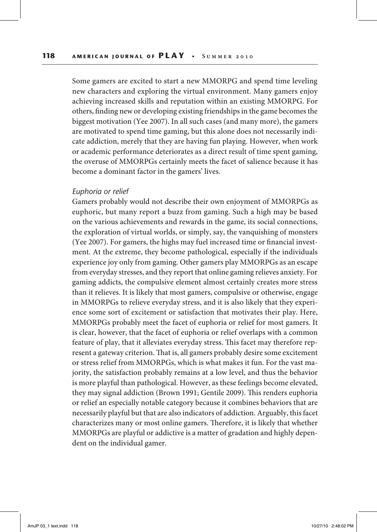Some gamers are excited to start a new MMORPG and spend time leveling new characters and exploring the virtual environment. Many gamers enjoy achieving increased skills and reputation within an existing MMORPG. For others, finding new or developing existing friendships in the game becomes the biggest motivation (Yee 2007). In all such cases (and many more), the gamers are motivated to spend time gaming, but this alone does not necessarily indicate addiction, merely that they are having fun playing. However, when work or academic performance deteriorates as a direct result of time spent gaming, the overuse of MMORPGs certainly meets the facet of salience because it has become a dominant factor in the gamers' lives.

#### *Euphoria or relief*

Gamers probably would not describe their own enjoyment of MMORPGs as euphoric, but many report a buzz from gaming. Such a high may be based on the various achievements and rewards in the game, its social connections, the exploration of virtual worlds, or simply, say, the vanquishing of monsters (Yee 2007). For gamers, the highs may fuel increased time or financial investment. At the extreme, they become pathological, especially if the individuals experience joy only from gaming. Other gamers play MMORPGs as an escape from everyday stresses, and they report that online gaming relieves anxiety. For gaming addicts, the compulsive element almost certainly creates more stress than it relieves. It is likely that most gamers, compulsive or otherwise, engage in MMORPGs to relieve everyday stress, and it is also likely that they experience some sort of excitement or satisfaction that motivates their play. Here, MMORPGs probably meet the facet of euphoria or relief for most gamers. It is clear, however, that the facet of euphoria or relief overlaps with a common feature of play, that it alleviates everyday stress. This facet may therefore represent a gateway criterion. That is, all gamers probably desire some excitement or stress relief from MMORPGs, which is what makes it fun. For the vast majority, the satisfaction probably remains at a low level, and thus the behavior is more playful than pathological. However, as these feelings become elevated, they may signal addiction (Brown 1991; Gentile 2009). This renders euphoria or relief an especially notable category because it combines behaviors that are necessarily playful but that are also indicators of addiction. Arguably, this facet characterizes many or most online gamers. Therefore, it is likely that whether MMORPGs are playful or addictive is a matter of gradation and highly dependent on the individual gamer.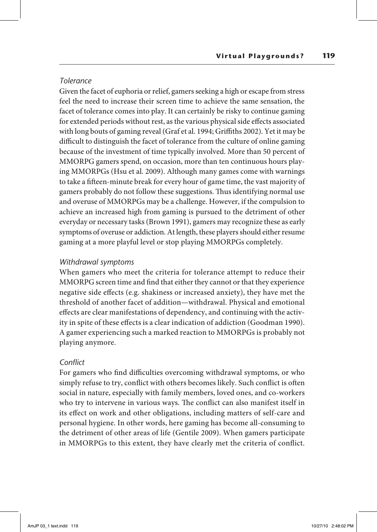## *Tolerance*

Given the facet of euphoria or relief, gamers seeking a high or escape from stress feel the need to increase their screen time to achieve the same sensation, the facet of tolerance comes into play. It can certainly be risky to continue gaming for extended periods without rest, as the various physical side effects associated with long bouts of gaming reveal (Graf et al. 1994; Griffiths 2002). Yet it may be difficult to distinguish the facet of tolerance from the culture of online gaming because of the investment of time typically involved. More than 50 percent of MMORPG gamers spend, on occasion, more than ten continuous hours playing MMORPGs (Hsu et al. 2009). Although many games come with warnings to take a fifteen-minute break for every hour of game time, the vast majority of gamers probably do not follow these suggestions. Thus identifying normal use and overuse of MMORPGs may be a challenge. However, if the compulsion to achieve an increased high from gaming is pursued to the detriment of other everyday or necessary tasks (Brown 1991), gamers may recognize these as early symptoms of overuse or addiction. At length, these players should either resume gaming at a more playful level or stop playing MMORPGs completely.

## *Withdrawal symptoms*

When gamers who meet the criteria for tolerance attempt to reduce their MMORPG screen time and find that either they cannot or that they experience negative side effects (e.g. shakiness or increased anxiety), they have met the threshold of another facet of addition—withdrawal. Physical and emotional effects are clear manifestations of dependency, and continuing with the activity in spite of these effects is a clear indication of addiction (Goodman 1990). A gamer experiencing such a marked reaction to MMORPGs is probably not playing anymore.

### *Conflict*

For gamers who find difficulties overcoming withdrawal symptoms, or who simply refuse to try, conflict with others becomes likely. Such conflict is often social in nature, especially with family members, loved ones, and co-workers who try to intervene in various ways. The conflict can also manifest itself in its effect on work and other obligations, including matters of self-care and personal hygiene. In other words, here gaming has become all-consuming to the detriment of other areas of life (Gentile 2009). When gamers participate in MMORPGs to this extent, they have clearly met the criteria of conflict.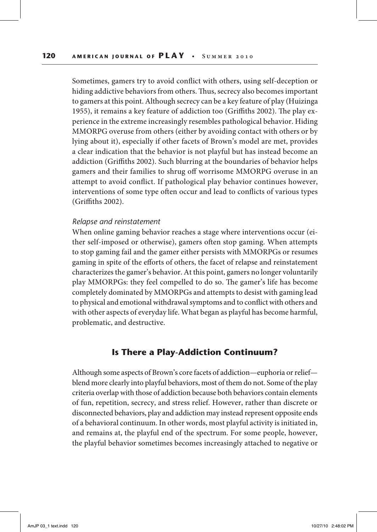Sometimes, gamers try to avoid conflict with others, using self-deception or hiding addictive behaviors from others. Thus, secrecy also becomes important to gamers at this point. Although secrecy can be a key feature of play (Huizinga 1955), it remains a key feature of addiction too (Griffiths 2002). The play experience in the extreme increasingly resembles pathological behavior. Hiding MMORPG overuse from others (either by avoiding contact with others or by lying about it), especially if other facets of Brown's model are met, provides a clear indication that the behavior is not playful but has instead become an addiction (Griffiths 2002). Such blurring at the boundaries of behavior helps gamers and their families to shrug off worrisome MMORPG overuse in an attempt to avoid conflict. If pathological play behavior continues however, interventions of some type often occur and lead to conflicts of various types (Griffiths 2002).

#### *Relapse and reinstatement*

When online gaming behavior reaches a stage where interventions occur (either self-imposed or otherwise), gamers often stop gaming. When attempts to stop gaming fail and the gamer either persists with MMORPGs or resumes gaming in spite of the efforts of others, the facet of relapse and reinstatement characterizes the gamer's behavior. At this point, gamers no longer voluntarily play MMORPGs: they feel compelled to do so. The gamer's life has become completely dominated by MMORPGs and attempts to desist with gaming lead to physical and emotional withdrawal symptoms and to conflict with others and with other aspects of everyday life. What began as playful has become harmful, problematic, and destructive.

# **Is There a Play-Addiction Continuum?**

Although some aspects of Brown's core facets of addiction—euphoria or relief blend more clearly into playful behaviors, most of them do not. Some of the play criteria overlap with those of addiction because both behaviors contain elements of fun, repetition, secrecy, and stress relief. However, rather than discrete or disconnected behaviors, play and addiction may instead represent opposite ends of a behavioral continuum. In other words, most playful activity is initiated in, and remains at, the playful end of the spectrum. For some people, however, the playful behavior sometimes becomes increasingly attached to negative or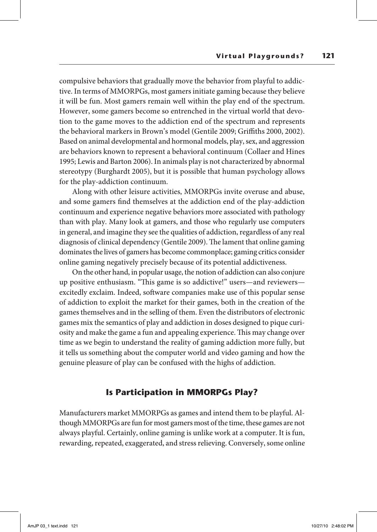compulsive behaviors that gradually move the behavior from playful to addictive. In terms of MMORPGs, most gamers initiate gaming because they believe it will be fun. Most gamers remain well within the play end of the spectrum. However, some gamers become so entrenched in the virtual world that devotion to the game moves to the addiction end of the spectrum and represents the behavioral markers in Brown's model (Gentile 2009; Griffiths 2000, 2002). Based on animal developmental and hormonal models, play, sex, and aggression are behaviors known to represent a behavioral continuum (Collaer and Hines 1995; Lewis and Barton 2006). In animals play is not characterized by abnormal stereotypy (Burghardt 2005), but it is possible that human psychology allows for the play-addiction continuum.

Along with other leisure activities, MMORPGs invite overuse and abuse, and some gamers find themselves at the addiction end of the play-addiction continuum and experience negative behaviors more associated with pathology than with play. Many look at gamers, and those who regularly use computers in general, and imagine they see the qualities of addiction, regardless of any real diagnosis of clinical dependency (Gentile 2009). The lament that online gaming dominates the lives of gamers has become commonplace; gaming critics consider online gaming negatively precisely because of its potential addictiveness.

On the other hand, in popular usage, the notion of addiction can also conjure up positive enthusiasm. "This game is so addictive!" users—and reviewers excitedly exclaim. Indeed, software companies make use of this popular sense of addiction to exploit the market for their games, both in the creation of the games themselves and in the selling of them. Even the distributors of electronic games mix the semantics of play and addiction in doses designed to pique curiosity and make the game a fun and appealing experience. This may change over time as we begin to understand the reality of gaming addiction more fully, but it tells us something about the computer world and video gaming and how the genuine pleasure of play can be confused with the highs of addiction.

# **Is Participation in MMORPGs Play?**

Manufacturers market MMORPGs as games and intend them to be playful. Although MMORPGs are fun for most gamers most of the time, these games are not always playful. Certainly, online gaming is unlike work at a computer. It is fun, rewarding, repeated, exaggerated, and stress relieving. Conversely, some online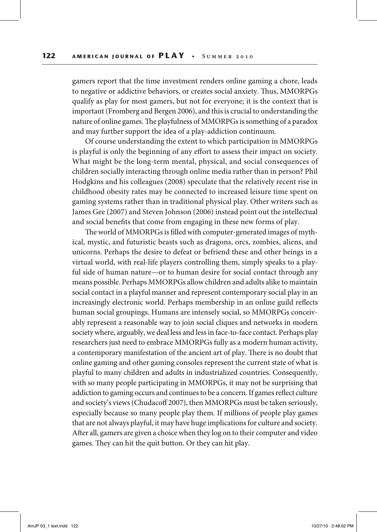gamers report that the time investment renders online gaming a chore, leads to negative or addictive behaviors, or creates social anxiety. Thus, MMORPGs qualify as play for most gamers, but not for everyone; it is the context that is important (Fromberg and Bergen 2006), and this is crucial to understanding the nature of online games. The playfulness of MMORPGs is something of a paradox and may further support the idea of a play-addiction continuum.

Of course understanding the extent to which participation in MMORPGs is playful is only the beginning of any effort to assess their impact on society. What might be the long-term mental, physical, and social consequences of children socially interacting through online media rather than in person? Phil Hodgkins and his colleagues (2008) speculate that the relatively recent rise in childhood obesity rates may be connected to increased leisure time spent on gaming systems rather than in traditional physical play. Other writers such as James Gee (2007) and Steven Johnson (2006) instead point out the intellectual and social benefits that come from engaging in these new forms of play.

The world of MMORPGs is filled with computer-generated images of mythical, mystic, and futuristic beasts such as dragons, orcs, zombies, aliens, and unicorns. Perhaps the desire to defeat or befriend these and other beings in a virtual world, with real-life players controlling them, simply speaks to a playful side of human nature—or to human desire for social contact through any means possible. Perhaps MMORPGs allow children and adults alike to maintain social contact in a playful manner and represent contemporary social play in an increasingly electronic world. Perhaps membership in an online guild reflects human social groupings. Humans are intensely social, so MMORPGs conceivably represent a reasonable way to join social cliques and networks in modern society where, arguably, we deal less and less in face-to-face contact. Perhaps play researchers just need to embrace MMORPGs fully as a modern human activity, a contemporary manifestation of the ancient art of play. There is no doubt that online gaming and other gaming consoles represent the current state of what is playful to many children and adults in industrialized countries. Consequently, with so many people participating in MMORPGs, it may not be surprising that addiction to gaming occurs and continues to be a concern. If games reflect culture and society's views (Chudacoff 2007), then MMORPGs must be taken seriously, especially because so many people play them. If millions of people play games that are not always playful, it may have huge implications for culture and society. After all, gamers are given a choice when they log on to their computer and video games. They can hit the quit button. Or they can hit play.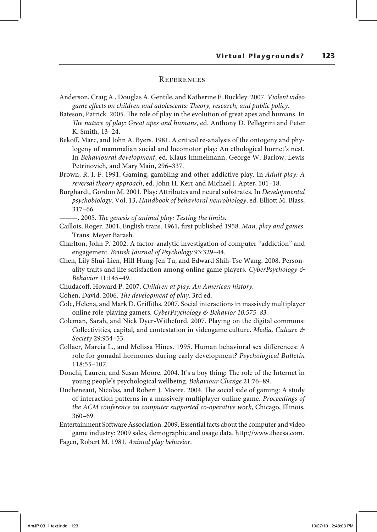### **REFERENCES**

- Anderson, Craig A., Douglas A. Gentile, and Katherine E. Buckley. 2007. *Violent video game effects on children and adolescents: Theory, research, and public policy*.
- Bateson, Patrick. 2005. The role of play in the evolution of great apes and humans. In *The nature of play: Great apes and humans*, ed. Anthony D. Pellegrini and Peter K. Smith, 13–24.
- Bekoff, Marc, and John A. Byers. 1981. A critical re-analysis of the ontogeny and phylogeny of mammalian social and locomotor play: An ethological hornet's nest. In *Behavioural development*, ed. Klaus Immelmann, George W. Barlow, Lewis Petrinovich, and Mary Main, 296–337.
- Brown, R. I. F. 1991. Gaming, gambling and other addictive play. In *Adult play: A reversal theory approach*, ed. John H. Kerr and Michael J. Apter, 101–18.
- Burghardt, Gordon M. 2001. Play: Attributes and neural substrates. In *Developmental psychobiology*. Vol. 13, *Handbook of behavioral neurobiology*, ed. Elliott M. Blass, 317–66.
	- ———. 2005. *The genesis of animal play: Testing the limits*.
- Caillois, Roger. 2001, English trans. 1961, first published 1958. *Man, play and games*. Trans. Meyer Barash.
- Charlton, John P. 2002. A factor-analytic investigation of computer "addiction" and engagement. *British Journal of Psychology* 93:329–44.
- Chen, Lily Shui-Lien, Hill Hung-Jen Tu, and Edward Shih-Tse Wang. 2008. Personality traits and life satisfaction among online game players. *CyberPsychology & Behavior* 11:145–49.
- Chudacoff, Howard P. 2007. *Children at play: An American history*.
- Cohen, David. 2006. *The development of play*. 3rd ed.
- Cole, Helena, and Mark D. Griffiths. 2007. Social interactions in massively multiplayer online role-playing gamers. *CyberPsychology & Behavior 10:575–83.*
- Coleman, Sarah, and Nick Dyer-Witheford. 2007. Playing on the digital commons: Collectivities, capital, and contestation in videogame culture. *Media, Culture & Society* 29:934–53.
- Collaer, Marcia L., and Melissa Hines. 1995. Human behavioral sex differences: A role for gonadal hormones during early development? *Psychological Bulletin* 118:55–107.
- Donchi, Lauren, and Susan Moore. 2004. It's a boy thing: The role of the Internet in young people's psychological wellbeing. *Behaviour Change* 21:76–89.
- Ducheneaut, Nicolas, and Robert J. Moore. 2004. The social side of gaming: A study of interaction patterns in a massively multiplayer online game. *Proceedings of the ACM conference on computer supported co-operative work*, Chicago, Illinois, 360–69.
- Entertainment Software Association. 2009. Essential facts about the computer and video game industry: 2009 sales, demographic and usage data. http://www.theesa.com.

Fagen, Robert M. 1981. *Animal play behavior*.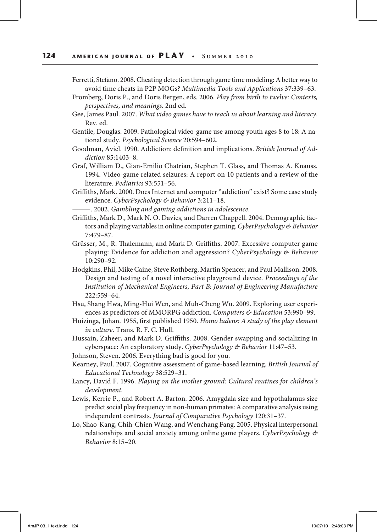- Ferretti, Stefano. 2008. Cheating detection through game time modeling: A better way to avoid time cheats in P2P MOGs? *Multimedia Tools and Applications* 37:339–63.
- Fromberg, Doris P., and Doris Bergen, eds. 2006. *Play from birth to twelve: Contexts, perspectives, and meanings*. 2nd ed.
- Gee, James Paul. 2007. *What video games have to teach us about learning and literacy*. Rev. ed.
- Gentile, Douglas. 2009. Pathological video-game use among youth ages 8 to 18: A national study. *Psychological Science* 20:594–602.
- Goodman, Aviel. 1990. Addiction: definition and implications. *British Journal of Addiction* 85:1403–8.
- Graf, William D., Gian-Emilio Chatrian, Stephen T. Glass, and Thomas A. Knauss. 1994. Video-game related seizures: A report on 10 patients and a review of the literature. *Pediatrics* 93:551–56.
- Griffiths, Mark. 2000. Does Internet and computer "addiction" exist? Some case study evidence. *CyberPsychology & Behavior* 3:211–18.
	- ———. 2002. *Gambling and gaming addictions in adolescence*.
- Griffiths, Mark D., Mark N. O. Davies, and Darren Chappell. 2004. Demographic factors and playing variables in online computer gaming. *CyberPsychology & Behavior* 7:479–87.
- Grüsser, M., R. Thalemann, and Mark D. Griffiths. 2007. Excessive computer game playing: Evidence for addiction and aggression? *CyberPsychology & Behavior* 10:290–92.
- Hodgkins, Phil, Mike Caine, Steve Rothberg, Martin Spencer, and Paul Mallison. 2008. Design and testing of a novel interactive playground device. *Proceedings of the Institution of Mechanical Engineers, Part B: Journal of Engineering Manufacture* 222:559–64.
- Hsu, Shang Hwa, Ming-Hui Wen, and Muh-Cheng Wu. 2009. Exploring user experiences as predictors of MMORPG addiction. *Computers & Education* 53:990–99.
- Huizinga, Johan. 1955, first published 1950. *Homo ludens: A study of the play element in culture*. Trans. R. F. C. Hull.
- Hussain, Zaheer, and Mark D. Griffiths. 2008. Gender swapping and socializing in cyberspace: An exploratory study. *CyberPsychology & Behavior* 11:47–53.
- Johnson, Steven. 2006. Everything bad is good for you.
- Kearney, Paul. 2007. Cognitive assessment of game-based learning. *British Journal of Educational Technology* 38:529–31.
- Lancy, David F. 1996. *Playing on the mother ground: Cultural routines for children's development.*
- Lewis, Kerrie P., and Robert A. Barton. 2006. Amygdala size and hypothalamus size predict social play frequency in non-human primates: A comparative analysis using independent contrasts. *Journal of Comparative Psychology* 120:31–37.
- Lo, Shao-Kang, Chih-Chien Wang, and Wenchang Fang. 2005. Physical interpersonal relationships and social anxiety among online game players. *CyberPsychology & Behavior* 8:15–20.